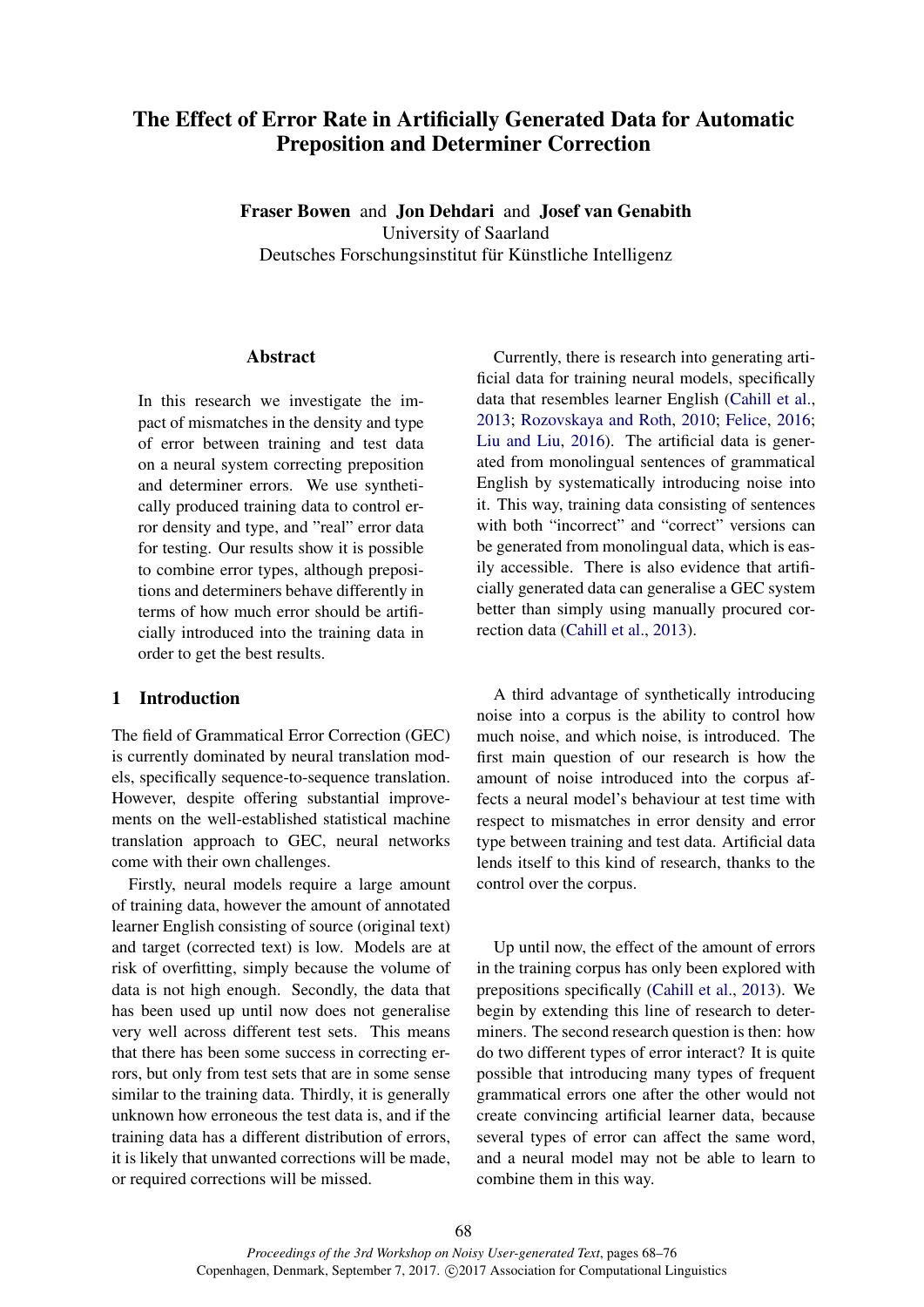# The Effect of Error Rate in Artificially Generated Data for Automatic Preposition and Determiner Correction

Fraser Bowen and Jon Dehdari and Josef van Genabith University of Saarland Deutsches Forschungsinstitut für Künstliche Intelligenz

## Abstract

In this research we investigate the impact of mismatches in the density and type of error between training and test data on a neural system correcting preposition and determiner errors. We use synthetically produced training data to control error density and type, and "real" error data for testing. Our results show it is possible to combine error types, although prepositions and determiners behave differently in terms of how much error should be artificially introduced into the training data in order to get the best results.

# 1 Introduction

The field of Grammatical Error Correction (GEC) is currently dominated by neural translation models, specifically sequence-to-sequence translation. However, despite offering substantial improvements on the well-established statistical machine translation approach to GEC, neural networks come with their own challenges.

Firstly, neural models require a large amount of training data, however the amount of annotated learner English consisting of source (original text) and target (corrected text) is low. Models are at risk of overfitting, simply because the volume of data is not high enough. Secondly, the data that has been used up until now does not generalise very well across different test sets. This means that there has been some success in correcting errors, but only from test sets that are in some sense similar to the training data. Thirdly, it is generally unknown how erroneous the test data is, and if the training data has a different distribution of errors, it is likely that unwanted corrections will be made, or required corrections will be missed.

Currently, there is research into generating artificial data for training neural models, specifically data that resembles learner English (Cahill et al., 2013; Rozovskaya and Roth, 2010; Felice, 2016; Liu and Liu, 2016). The artificial data is generated from monolingual sentences of grammatical English by systematically introducing noise into it. This way, training data consisting of sentences with both "incorrect" and "correct" versions can be generated from monolingual data, which is easily accessible. There is also evidence that artificially generated data can generalise a GEC system better than simply using manually procured correction data (Cahill et al., 2013).

A third advantage of synthetically introducing noise into a corpus is the ability to control how much noise, and which noise, is introduced. The first main question of our research is how the amount of noise introduced into the corpus affects a neural model's behaviour at test time with respect to mismatches in error density and error type between training and test data. Artificial data lends itself to this kind of research, thanks to the control over the corpus.

Up until now, the effect of the amount of errors in the training corpus has only been explored with prepositions specifically (Cahill et al., 2013). We begin by extending this line of research to determiners. The second research question is then: how do two different types of error interact? It is quite possible that introducing many types of frequent grammatical errors one after the other would not create convincing artificial learner data, because several types of error can affect the same word, and a neural model may not be able to learn to combine them in this way.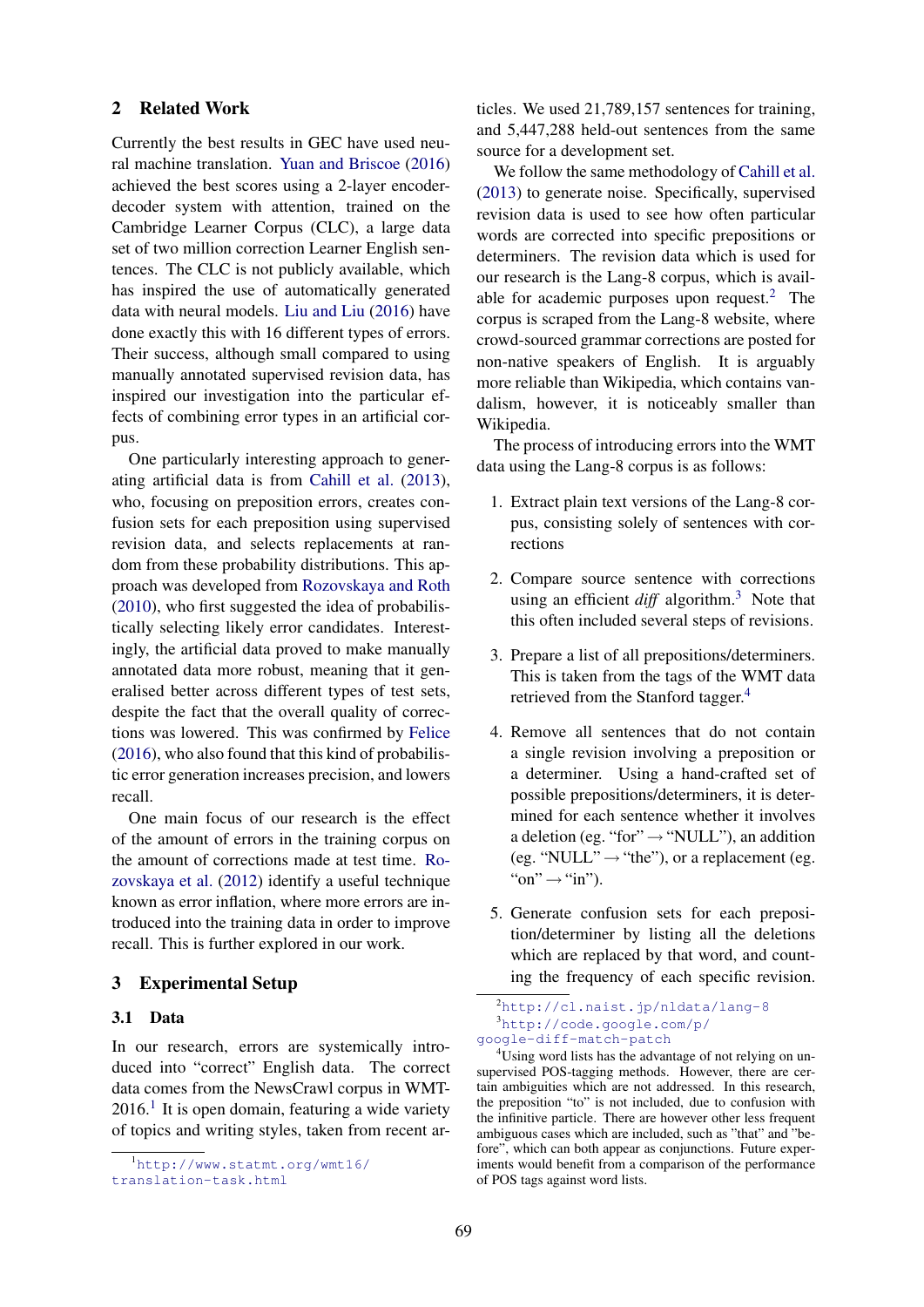#### 2 Related Work

Currently the best results in GEC have used neural machine translation. Yuan and Briscoe (2016) achieved the best scores using a 2-layer encoderdecoder system with attention, trained on the Cambridge Learner Corpus (CLC), a large data set of two million correction Learner English sentences. The CLC is not publicly available, which has inspired the use of automatically generated data with neural models. Liu and Liu (2016) have done exactly this with 16 different types of errors. Their success, although small compared to using manually annotated supervised revision data, has inspired our investigation into the particular effects of combining error types in an artificial corpus.

One particularly interesting approach to generating artificial data is from Cahill et al. (2013), who, focusing on preposition errors, creates confusion sets for each preposition using supervised revision data, and selects replacements at random from these probability distributions. This approach was developed from Rozovskaya and Roth (2010), who first suggested the idea of probabilistically selecting likely error candidates. Interestingly, the artificial data proved to make manually annotated data more robust, meaning that it generalised better across different types of test sets, despite the fact that the overall quality of corrections was lowered. This was confirmed by Felice (2016), who also found that this kind of probabilistic error generation increases precision, and lowers recall.

One main focus of our research is the effect of the amount of errors in the training corpus on the amount of corrections made at test time. Rozovskaya et al. (2012) identify a useful technique known as error inflation, where more errors are introduced into the training data in order to improve recall. This is further explored in our work.

## 3 Experimental Setup

#### 3.1 Data

In our research, errors are systemically introduced into "correct" English data. The correct data comes from the NewsCrawl corpus in WMT- $2016<sup>1</sup>$  It is open domain, featuring a wide variety of topics and writing styles, taken from recent articles. We used 21,789,157 sentences for training, and 5,447,288 held-out sentences from the same source for a development set.

We follow the same methodology of Cahill et al. (2013) to generate noise. Specifically, supervised revision data is used to see how often particular words are corrected into specific prepositions or determiners. The revision data which is used for our research is the Lang-8 corpus, which is available for academic purposes upon request.<sup>2</sup> The corpus is scraped from the Lang-8 website, where crowd-sourced grammar corrections are posted for non-native speakers of English. It is arguably more reliable than Wikipedia, which contains vandalism, however, it is noticeably smaller than Wikipedia.

The process of introducing errors into the WMT data using the Lang-8 corpus is as follows:

- 1. Extract plain text versions of the Lang-8 corpus, consisting solely of sentences with corrections
- 2. Compare source sentence with corrections using an efficient *diff* algorithm.<sup>3</sup> Note that this often included several steps of revisions.
- 3. Prepare a list of all prepositions/determiners. This is taken from the tags of the WMT data retrieved from the Stanford tagger.<sup>4</sup>
- 4. Remove all sentences that do not contain a single revision involving a preposition or a determiner. Using a hand-crafted set of possible prepositions/determiners, it is determined for each sentence whether it involves a deletion (eg. "for" $\rightarrow$  "NULL"), an addition (eg. "NULL" $\rightarrow$  "the"), or a replacement (eg. "on" $\rightarrow$ "in").
- 5. Generate confusion sets for each preposition/determiner by listing all the deletions which are replaced by that word, and counting the frequency of each specific revision.

<sup>1</sup>http://www.statmt.org/wmt16/ translation-task.html

<sup>2</sup>http://cl.naist.jp/nldata/lang-8 <sup>3</sup>http://code.google.com/p/ google-diff-match-patch

<sup>&</sup>lt;sup>4</sup>Using word lists has the advantage of not relying on unsupervised POS-tagging methods. However, there are certain ambiguities which are not addressed. In this research, the preposition "to" is not included, due to confusion with the infinitive particle. There are however other less frequent ambiguous cases which are included, such as "that" and "before", which can both appear as conjunctions. Future experiments would benefit from a comparison of the performance of POS tags against word lists.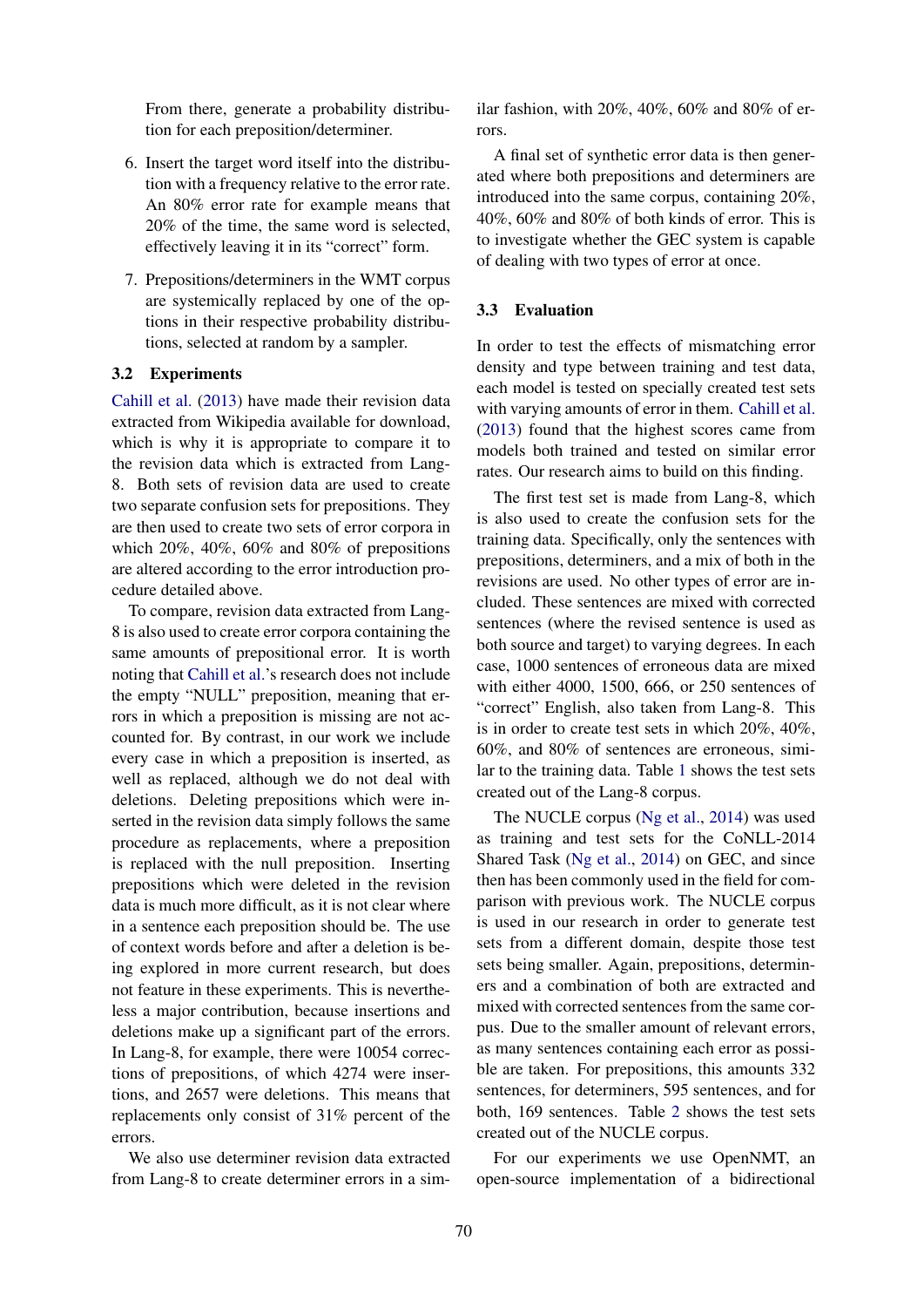From there, generate a probability distribution for each preposition/determiner.

- 6. Insert the target word itself into the distribution with a frequency relative to the error rate. An 80% error rate for example means that 20% of the time, the same word is selected, effectively leaving it in its "correct" form.
- 7. Prepositions/determiners in the WMT corpus are systemically replaced by one of the options in their respective probability distributions, selected at random by a sampler.

#### 3.2 Experiments

Cahill et al. (2013) have made their revision data extracted from Wikipedia available for download, which is why it is appropriate to compare it to the revision data which is extracted from Lang-8. Both sets of revision data are used to create two separate confusion sets for prepositions. They are then used to create two sets of error corpora in which 20%, 40%, 60% and 80% of prepositions are altered according to the error introduction procedure detailed above.

To compare, revision data extracted from Lang-8 is also used to create error corpora containing the same amounts of prepositional error. It is worth noting that Cahill et al.'s research does not include the empty "NULL" preposition, meaning that errors in which a preposition is missing are not accounted for. By contrast, in our work we include every case in which a preposition is inserted, as well as replaced, although we do not deal with deletions. Deleting prepositions which were inserted in the revision data simply follows the same procedure as replacements, where a preposition is replaced with the null preposition. Inserting prepositions which were deleted in the revision data is much more difficult, as it is not clear where in a sentence each preposition should be. The use of context words before and after a deletion is being explored in more current research, but does not feature in these experiments. This is nevertheless a major contribution, because insertions and deletions make up a significant part of the errors. In Lang-8, for example, there were 10054 corrections of prepositions, of which 4274 were insertions, and 2657 were deletions. This means that replacements only consist of 31% percent of the errors.

We also use determiner revision data extracted from Lang-8 to create determiner errors in a similar fashion, with 20%, 40%, 60% and 80% of errors.

A final set of synthetic error data is then generated where both prepositions and determiners are introduced into the same corpus, containing 20%, 40%, 60% and 80% of both kinds of error. This is to investigate whether the GEC system is capable of dealing with two types of error at once.

#### 3.3 Evaluation

In order to test the effects of mismatching error density and type between training and test data, each model is tested on specially created test sets with varying amounts of error in them. Cahill et al. (2013) found that the highest scores came from models both trained and tested on similar error rates. Our research aims to build on this finding.

The first test set is made from Lang-8, which is also used to create the confusion sets for the training data. Specifically, only the sentences with prepositions, determiners, and a mix of both in the revisions are used. No other types of error are included. These sentences are mixed with corrected sentences (where the revised sentence is used as both source and target) to varying degrees. In each case, 1000 sentences of erroneous data are mixed with either 4000, 1500, 666, or 250 sentences of "correct" English, also taken from Lang-8. This is in order to create test sets in which 20%, 40%, 60%, and 80% of sentences are erroneous, similar to the training data. Table 1 shows the test sets created out of the Lang-8 corpus.

The NUCLE corpus (Ng et al., 2014) was used as training and test sets for the CoNLL-2014 Shared Task (Ng et al., 2014) on GEC, and since then has been commonly used in the field for comparison with previous work. The NUCLE corpus is used in our research in order to generate test sets from a different domain, despite those test sets being smaller. Again, prepositions, determiners and a combination of both are extracted and mixed with corrected sentences from the same corpus. Due to the smaller amount of relevant errors, as many sentences containing each error as possible are taken. For prepositions, this amounts 332 sentences, for determiners, 595 sentences, and for both, 169 sentences. Table 2 shows the test sets created out of the NUCLE corpus.

For our experiments we use OpenNMT, an open-source implementation of a bidirectional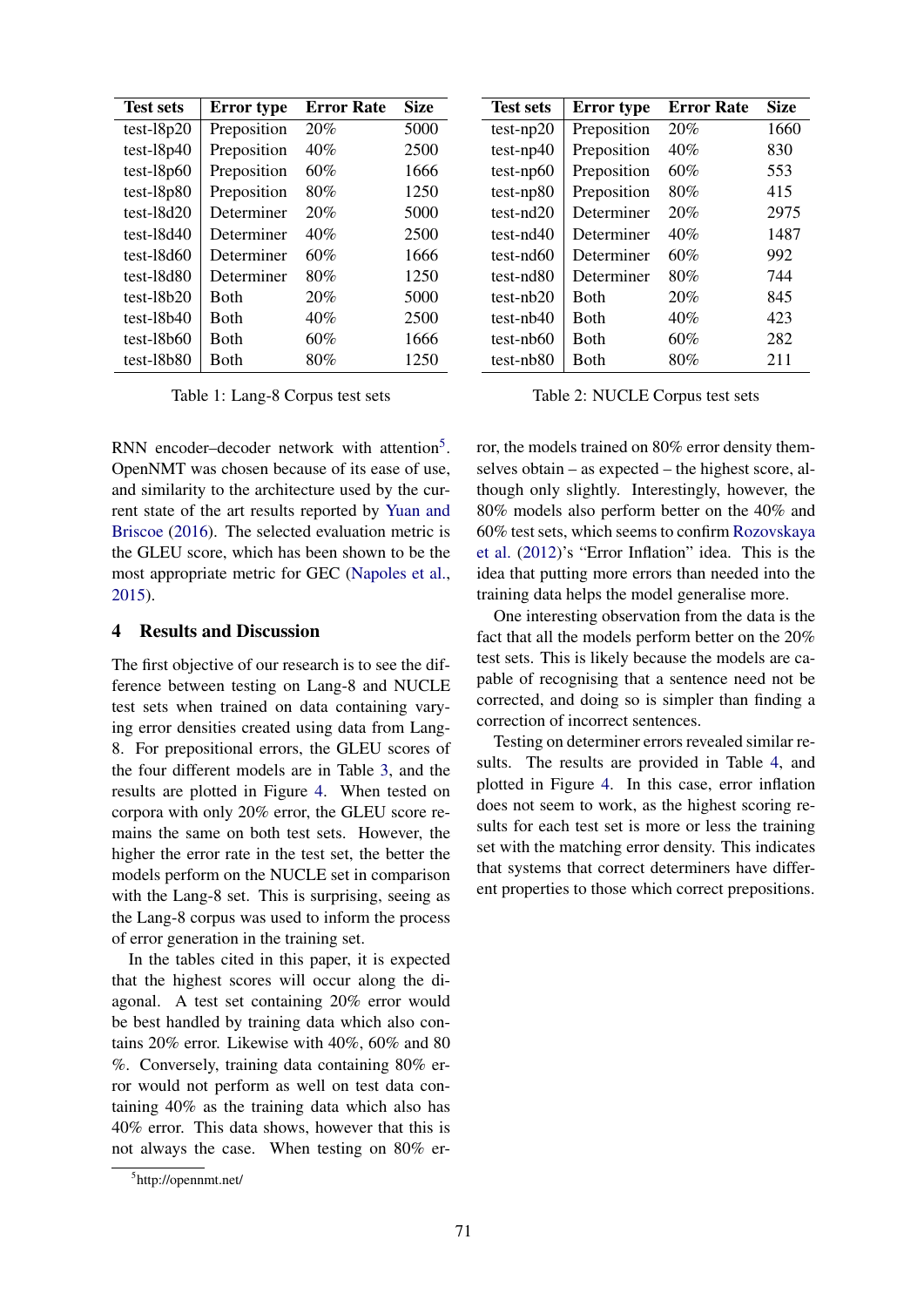| <b>Test sets</b> | Error type  | <b>Error Rate</b> | <b>Size</b> |
|------------------|-------------|-------------------|-------------|
| $test-18p20$     | Preposition | 20%               | 5000        |
| $test-18p40$     | Preposition | 40%               | 2500        |
| $test-18p60$     | Preposition | 60%               | 1666        |
| $test-18p80$     | Preposition | 80%               | 1250        |
| $test-18d20$     | Determiner  | 20%               | 5000        |
| $test-18d40$     | Determiner  | 40%               | 2500        |
| $test-18d60$     | Determiner  | 60%               | 1666        |
| $test-18d80$     | Determiner  | 80%               | 1250        |
| $test-18b20$     | <b>Both</b> | 20%               | 5000        |
| $test-18b40$     | Both        | 40%               | 2500        |
| $test-18b60$     | Both        | 60%               | 1666        |
| $test-18b80$     | Both        | $80\%$            | 1250        |

Table 1: Lang-8 Corpus test sets

RNN encoder-decoder network with attention<sup>5</sup>. OpenNMT was chosen because of its ease of use, and similarity to the architecture used by the current state of the art results reported by Yuan and Briscoe (2016). The selected evaluation metric is the GLEU score, which has been shown to be the most appropriate metric for GEC (Napoles et al., 2015).

#### 4 Results and Discussion

The first objective of our research is to see the difference between testing on Lang-8 and NUCLE test sets when trained on data containing varying error densities created using data from Lang-8. For prepositional errors, the GLEU scores of the four different models are in Table 3, and the results are plotted in Figure 4. When tested on corpora with only 20% error, the GLEU score remains the same on both test sets. However, the higher the error rate in the test set, the better the models perform on the NUCLE set in comparison with the Lang-8 set. This is surprising, seeing as the Lang-8 corpus was used to inform the process of error generation in the training set.

In the tables cited in this paper, it is expected that the highest scores will occur along the diagonal. A test set containing 20% error would be best handled by training data which also contains 20% error. Likewise with 40%, 60% and 80 %. Conversely, training data containing 80% error would not perform as well on test data containing 40% as the training data which also has 40% error. This data shows, however that this is not always the case. When testing on 80% er-

| <b>Test sets</b> | <b>Error</b> type | <b>Error Rate</b> | <b>Size</b> |
|------------------|-------------------|-------------------|-------------|
| $test-np20$      | Preposition       | 20%               | 1660        |
| $test-np40$      | Preposition       | 40%               | 830         |
| $test-np60$      | Preposition       | 60%               | 553         |
| $test-np80$      | Preposition       | 80%               | 415         |
| $test-nd20$      | Determiner        | 20%               | 2975        |
| test-nd40        | Determiner        | 40%               | 1487        |
| test-nd60        | Determiner        | 60%               | 992         |
| test-nd80        | Determiner        | 80%               | 744         |
| test-nb20        | Both              | 20%               | 845         |
| test-nb40        | <b>B</b> oth      | 40%               | 423         |
| $test-nb60$      | <b>Both</b>       | 60%               | 282         |
| test-nb80        | Both              | 80%               | 211         |

Table 2: NUCLE Corpus test sets

ror, the models trained on 80% error density themselves obtain – as expected – the highest score, although only slightly. Interestingly, however, the 80% models also perform better on the 40% and 60% test sets, which seems to confirm Rozovskaya et al. (2012)'s "Error Inflation" idea. This is the idea that putting more errors than needed into the training data helps the model generalise more.

One interesting observation from the data is the fact that all the models perform better on the 20% test sets. This is likely because the models are capable of recognising that a sentence need not be corrected, and doing so is simpler than finding a correction of incorrect sentences.

Testing on determiner errors revealed similar results. The results are provided in Table 4, and plotted in Figure 4. In this case, error inflation does not seem to work, as the highest scoring results for each test set is more or less the training set with the matching error density. This indicates that systems that correct determiners have different properties to those which correct prepositions.

<sup>5</sup> http://opennmt.net/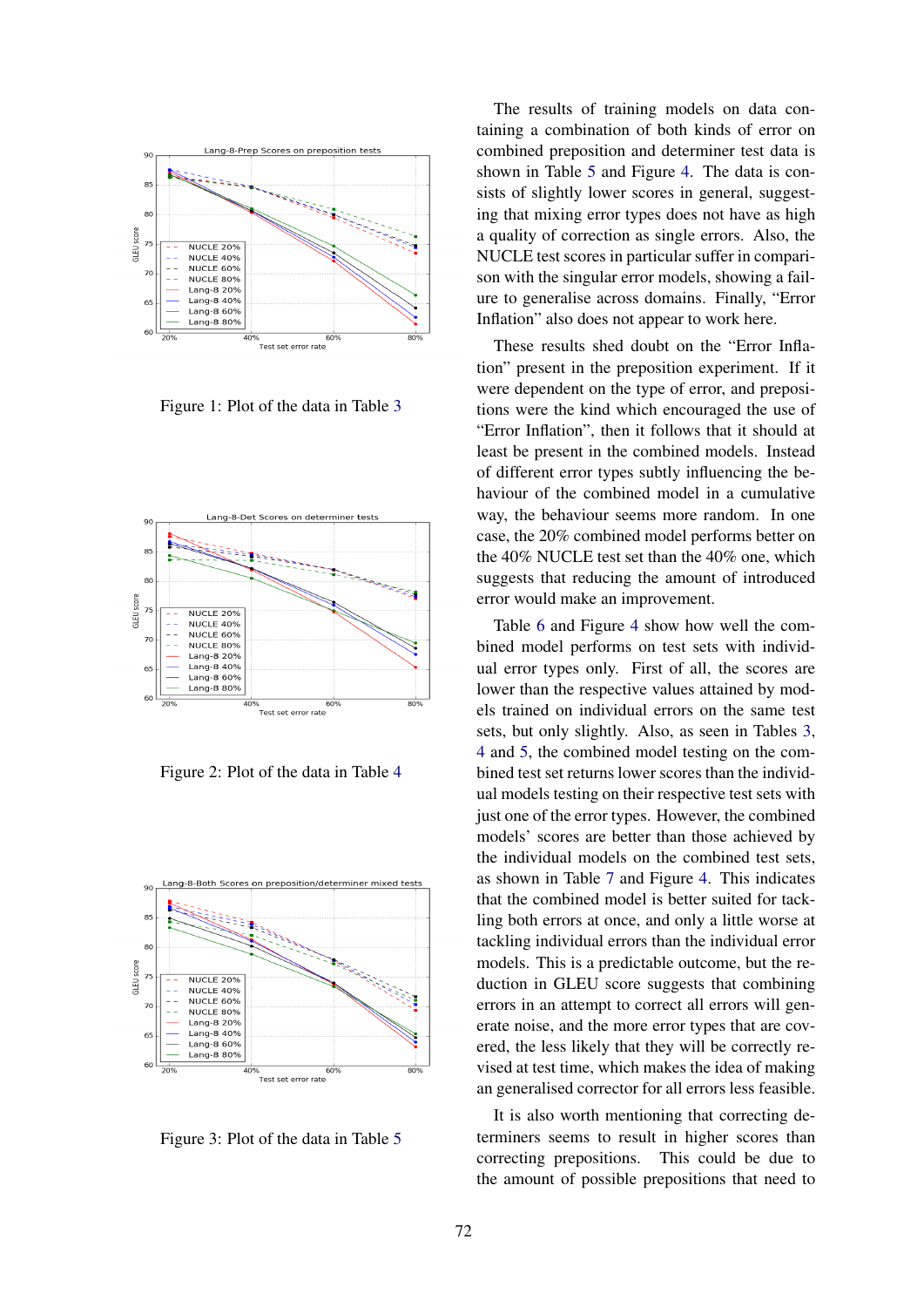

Figure 1: Plot of the data in Table 3



Figure 2: Plot of the data in Table 4



Figure 3: Plot of the data in Table 5

The results of training models on data containing a combination of both kinds of error on combined preposition and determiner test data is shown in Table 5 and Figure 4. The data is consists of slightly lower scores in general, suggesting that mixing error types does not have as high a quality of correction as single errors. Also, the NUCLE test scores in particular suffer in comparison with the singular error models, showing a failure to generalise across domains. Finally, "Error Inflation" also does not appear to work here.

These results shed doubt on the "Error Inflation" present in the preposition experiment. If it were dependent on the type of error, and prepositions were the kind which encouraged the use of "Error Inflation", then it follows that it should at least be present in the combined models. Instead of different error types subtly influencing the behaviour of the combined model in a cumulative way, the behaviour seems more random. In one case, the 20% combined model performs better on the 40% NUCLE test set than the 40% one, which suggests that reducing the amount of introduced error would make an improvement.

Table 6 and Figure 4 show how well the combined model performs on test sets with individual error types only. First of all, the scores are lower than the respective values attained by models trained on individual errors on the same test sets, but only slightly. Also, as seen in Tables 3, 4 and 5, the combined model testing on the combined test set returns lower scores than the individual models testing on their respective test sets with just one of the error types. However, the combined models' scores are better than those achieved by the individual models on the combined test sets, as shown in Table 7 and Figure 4. This indicates that the combined model is better suited for tackling both errors at once, and only a little worse at tackling individual errors than the individual error models. This is a predictable outcome, but the reduction in GLEU score suggests that combining errors in an attempt to correct all errors will generate noise, and the more error types that are covered, the less likely that they will be correctly revised at test time, which makes the idea of making an generalised corrector for all errors less feasible.

It is also worth mentioning that correcting determiners seems to result in higher scores than correcting prepositions. This could be due to the amount of possible prepositions that need to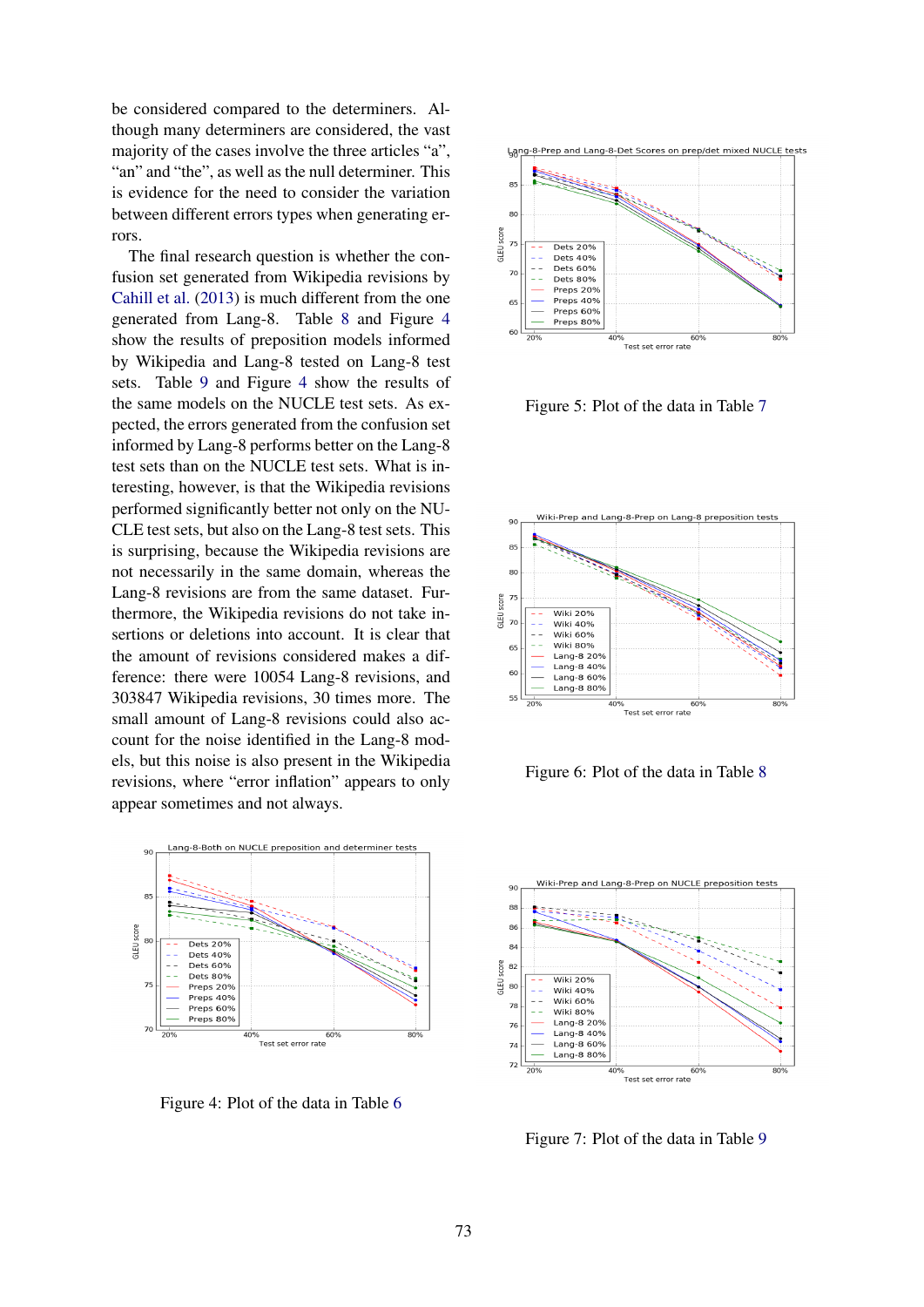be considered compared to the determiners. Although many determiners are considered, the vast majority of the cases involve the three articles "a", "an" and "the", as well as the null determiner. This is evidence for the need to consider the variation between different errors types when generating errors.

The final research question is whether the confusion set generated from Wikipedia revisions by Cahill et al. (2013) is much different from the one generated from Lang-8. Table 8 and Figure 4 show the results of preposition models informed by Wikipedia and Lang-8 tested on Lang-8 test sets. Table 9 and Figure 4 show the results of the same models on the NUCLE test sets. As expected, the errors generated from the confusion set informed by Lang-8 performs better on the Lang-8 test sets than on the NUCLE test sets. What is interesting, however, is that the Wikipedia revisions performed significantly better not only on the NU-CLE test sets, but also on the Lang-8 test sets. This is surprising, because the Wikipedia revisions are not necessarily in the same domain, whereas the Lang-8 revisions are from the same dataset. Furthermore, the Wikipedia revisions do not take insertions or deletions into account. It is clear that the amount of revisions considered makes a difference: there were 10054 Lang-8 revisions, and 303847 Wikipedia revisions, 30 times more. The small amount of Lang-8 revisions could also account for the noise identified in the Lang-8 models, but this noise is also present in the Wikipedia revisions, where "error inflation" appears to only appear sometimes and not always.



Figure 4: Plot of the data in Table 6



Figure 5: Plot of the data in Table 7



Figure 6: Plot of the data in Table 8



Figure 7: Plot of the data in Table 9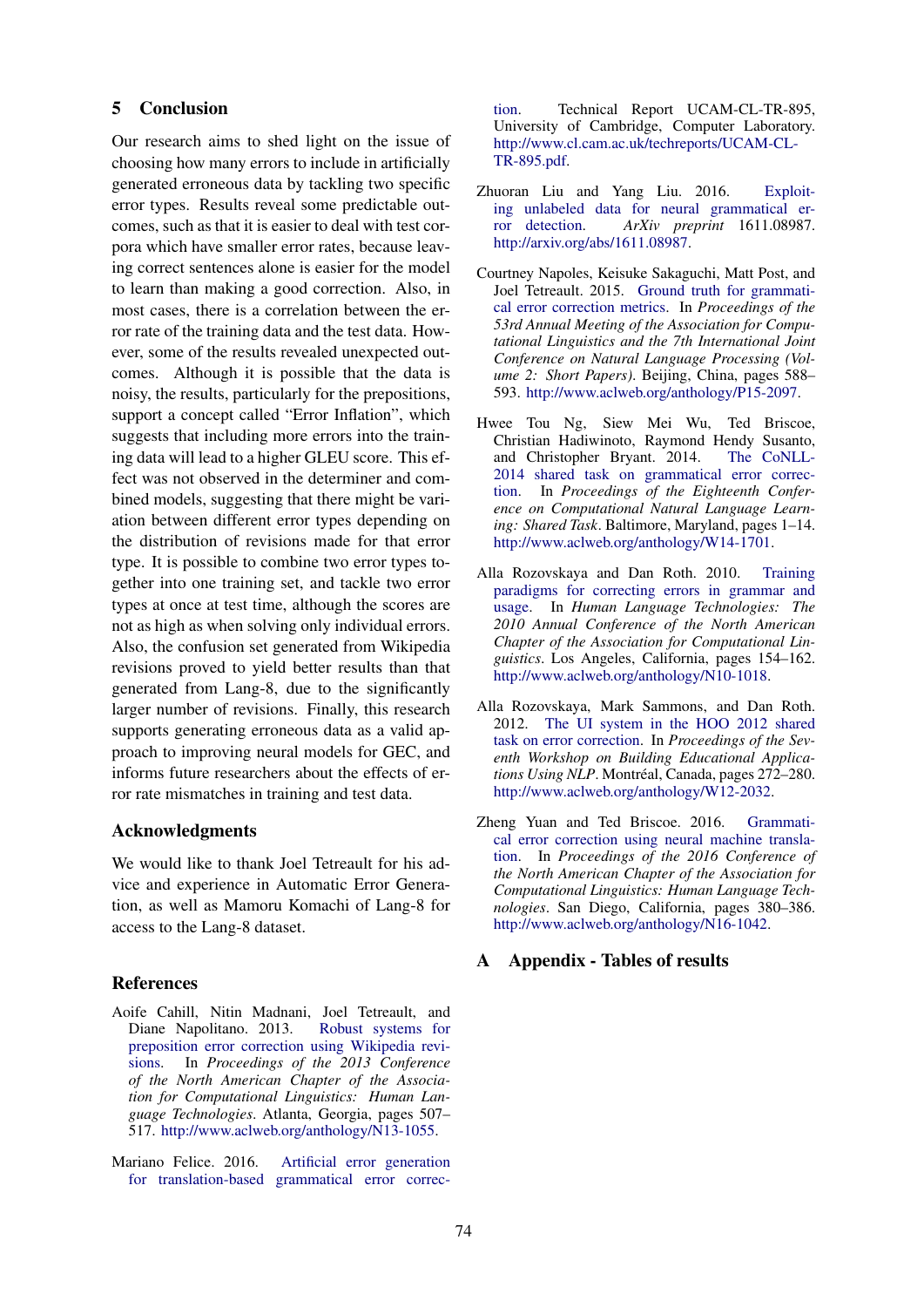## 5 Conclusion

Our research aims to shed light on the issue of choosing how many errors to include in artificially generated erroneous data by tackling two specific error types. Results reveal some predictable outcomes, such as that it is easier to deal with test corpora which have smaller error rates, because leaving correct sentences alone is easier for the model to learn than making a good correction. Also, in most cases, there is a correlation between the error rate of the training data and the test data. However, some of the results revealed unexpected outcomes. Although it is possible that the data is noisy, the results, particularly for the prepositions, support a concept called "Error Inflation", which suggests that including more errors into the training data will lead to a higher GLEU score. This effect was not observed in the determiner and combined models, suggesting that there might be variation between different error types depending on the distribution of revisions made for that error type. It is possible to combine two error types together into one training set, and tackle two error types at once at test time, although the scores are not as high as when solving only individual errors. Also, the confusion set generated from Wikipedia revisions proved to yield better results than that generated from Lang-8, due to the significantly larger number of revisions. Finally, this research supports generating erroneous data as a valid approach to improving neural models for GEC, and informs future researchers about the effects of error rate mismatches in training and test data.

#### Acknowledgments

We would like to thank Joel Tetreault for his advice and experience in Automatic Error Generation, as well as Mamoru Komachi of Lang-8 for access to the Lang-8 dataset.

#### References

- Aoife Cahill, Nitin Madnani, Joel Tetreault, and Diane Napolitano. 2013. preposition error correction using Wikipedia revisions. In *Proceedings of the 2013 Conference of the North American Chapter of the Association for Computational Linguistics: Human Language Technologies*. Atlanta, Georgia, pages 507– 517. http://www.aclweb.org/anthology/N13-1055.
- Mariano Felice. 2016. Artificial error generation for translation-based grammatical error correc-

tion. Technical Report UCAM-CL-TR-895, University of Cambridge, Computer Laboratory. http://www.cl.cam.ac.uk/techreports/UCAM-CL-TR-895.pdf.

- Zhuoran Liu and Yang Liu. 2016. Exploiting unlabeled data for neural grammatical error detection. *ArXiv preprint* 1611.08987. http://arxiv.org/abs/1611.08987.
- Courtney Napoles, Keisuke Sakaguchi, Matt Post, and Joel Tetreault. 2015. Ground truth for grammatical error correction metrics. In *Proceedings of the 53rd Annual Meeting of the Association for Computational Linguistics and the 7th International Joint Conference on Natural Language Processing (Volume 2: Short Papers)*. Beijing, China, pages 588– 593. http://www.aclweb.org/anthology/P15-2097.
- Hwee Tou Ng, Siew Mei Wu, Ted Briscoe, Christian Hadiwinoto, Raymond Hendy Susanto, and Christopher Bryant. 2014. 2014 shared task on grammatical error correction. In *Proceedings of the Eighteenth Conference on Computational Natural Language Learning: Shared Task*. Baltimore, Maryland, pages 1–14. http://www.aclweb.org/anthology/W14-1701.
- Alla Rozovskaya and Dan Roth. 2010. Training paradigms for correcting errors in grammar and usage. In *Human Language Technologies: The 2010 Annual Conference of the North American Chapter of the Association for Computational Linguistics*. Los Angeles, California, pages 154–162. http://www.aclweb.org/anthology/N10-1018.
- Alla Rozovskaya, Mark Sammons, and Dan Roth. 2012. The UI system in the HOO 2012 shared task on error correction. In *Proceedings of the Seventh Workshop on Building Educational Applications Using NLP*. Montréal, Canada, pages 272–280. http://www.aclweb.org/anthology/W12-2032.
- Zheng Yuan and Ted Briscoe. 2016. Grammatical error correction using neural machine translation. In *Proceedings of the 2016 Conference of the North American Chapter of the Association for Computational Linguistics: Human Language Technologies*. San Diego, California, pages 380–386. http://www.aclweb.org/anthology/N16-1042.

#### A Appendix - Tables of results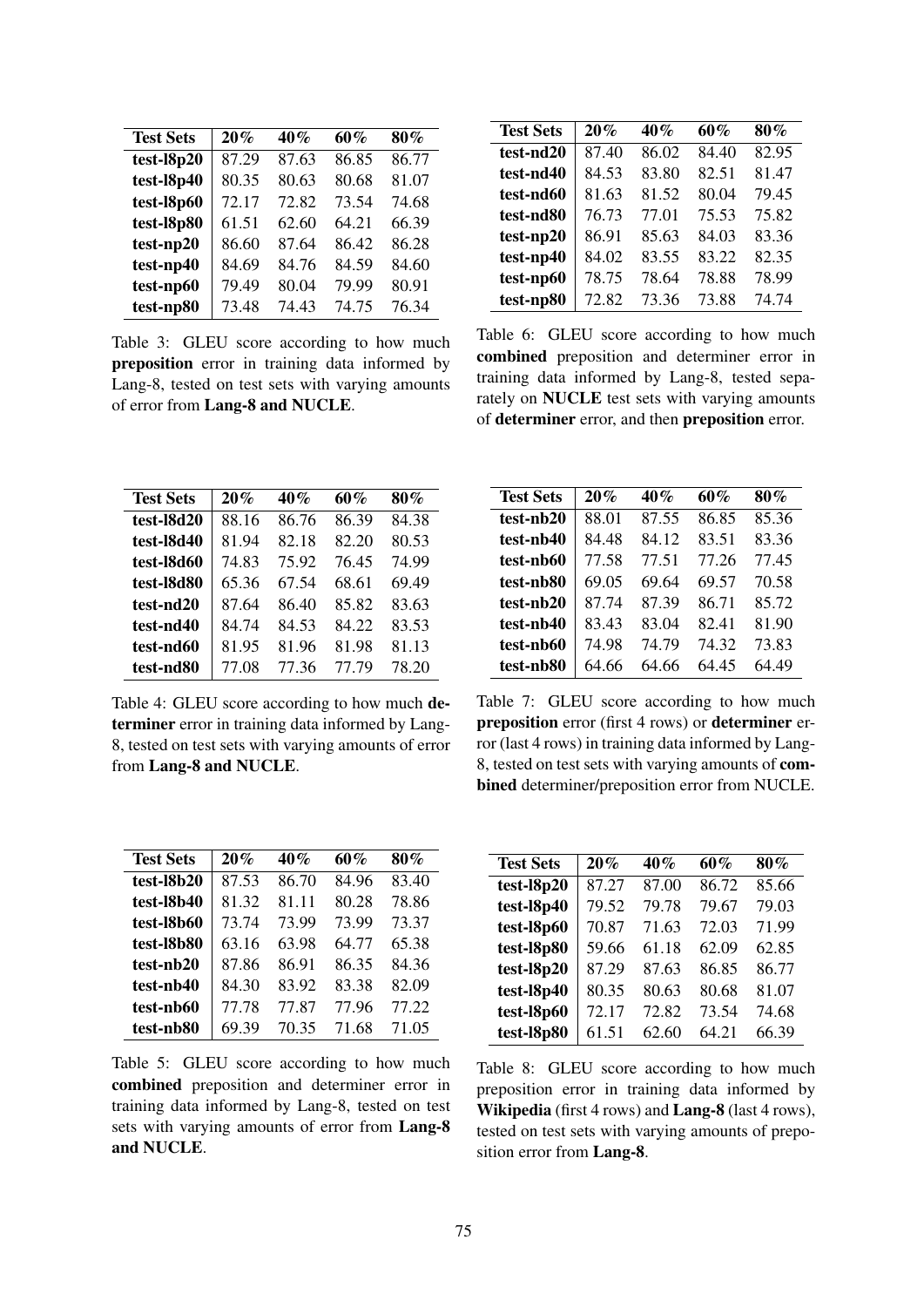| <b>Test Sets</b> | 20%   | 40%   | 60%   | 80%   |
|------------------|-------|-------|-------|-------|
| test-18p20       | 87.29 | 87.63 | 86.85 | 86.77 |
| test-18p40       | 80.35 | 80.63 | 80.68 | 81.07 |
| test-18p60       | 72.17 | 72.82 | 73.54 | 74.68 |
| test-18p80       | 61.51 | 62.60 | 64.21 | 66.39 |
| test-np20        | 86.60 | 87.64 | 86.42 | 86.28 |
| test-np40        | 84.69 | 84.76 | 84.59 | 84.60 |
| test-np60        | 79.49 | 80.04 | 79.99 | 80.91 |
| test-np80        | 73.48 | 74.43 | 74.75 | 76.34 |

Table 3: GLEU score according to how much preposition error in training data informed by Lang-8, tested on test sets with varying amounts of error from Lang-8 and NUCLE.

| <b>Test Sets</b> | 20%   | 40%   | 60%   | 80%   |
|------------------|-------|-------|-------|-------|
| test-nd20        | 87.40 | 86.02 | 84.40 | 82.95 |
| test-nd40        | 84.53 | 83.80 | 82.51 | 81.47 |
| test-nd60        | 81.63 | 81.52 | 80.04 | 79.45 |
| test-nd80        | 76.73 | 77.01 | 75.53 | 75.82 |
| test-np20        | 86.91 | 85.63 | 84.03 | 83.36 |
| test-np40        | 84.02 | 83.55 | 83.22 | 82.35 |
| test-np60        | 78.75 | 78.64 | 78.88 | 78.99 |
| test-np80        | 72.82 | 73.36 | 73.88 | 74.74 |

Table 6: GLEU score according to how much combined preposition and determiner error in training data informed by Lang-8, tested separately on NUCLE test sets with varying amounts of determiner error, and then preposition error.

| <b>Test Sets</b> | 20%   | 40%   | 60%   | 80%   |
|------------------|-------|-------|-------|-------|
| test-18d20       | 88.16 | 86.76 | 86.39 | 84.38 |
| test-18d40       | 81.94 | 82.18 | 82.20 | 80.53 |
| test-18d60       | 74.83 | 75.92 | 76.45 | 74.99 |
| test-18d80       | 65.36 | 67.54 | 68.61 | 69.49 |
| test-nd20        | 87.64 | 86.40 | 85.82 | 83.63 |
| test-nd40        | 84.74 | 84.53 | 84.22 | 83.53 |
| test-nd60        | 81.95 | 81.96 | 81.98 | 81.13 |
| test-nd80        | 77.08 | 77.36 | 77 79 | 78.20 |

Table 4: GLEU score according to how much determiner error in training data informed by Lang-8, tested on test sets with varying amounts of error from Lang-8 and NUCLE.

| <b>Test Sets</b> | $20\%$ | 40%   | 60%   | 80%   |
|------------------|--------|-------|-------|-------|
| test-nb20        | 88.01  | 87.55 | 86.85 | 85.36 |
| test-nb40        | 84.48  | 84.12 | 83.51 | 83.36 |
| test-nb60        | 77.58  | 77.51 | 77.26 | 77.45 |
| test-nb80        | 69.05  | 69.64 | 69.57 | 70.58 |
| test-nb20        | 87.74  | 87.39 | 86 71 | 85.72 |
| test-nb40        | 83.43  | 83.04 | 82.41 | 81.90 |
| test-nb60        | 74.98  | 74.79 | 74.32 | 73.83 |
| test-nb80        | 64.66  | 64.66 | 64.45 | 64.49 |

Table 7: GLEU score according to how much preposition error (first 4 rows) or determiner error (last 4 rows) in training data informed by Lang-8, tested on test sets with varying amounts of combined determiner/preposition error from NUCLE.

| <b>Test Sets</b> | 20%   | 40%   | 60%   | 80%   |
|------------------|-------|-------|-------|-------|
| test-18b20       | 87.53 | 86.70 | 84.96 | 83.40 |
| test-18b40       | 81.32 | 81.11 | 80.28 | 78.86 |
| test-18b60       | 73.74 | 73.99 | 73.99 | 73.37 |
| test-18b80       | 63.16 | 63.98 | 64.77 | 65.38 |
| test-nb20        | 87.86 | 86.91 | 86.35 | 84.36 |
| test-nb40        | 84.30 | 83.92 | 83.38 | 82.09 |
| test-nb60        | 77.78 | 77.87 | 77.96 | 77.22 |
| test-nb80        | 69 39 | 70.35 | 71 68 | 71.05 |

Table 5: GLEU score according to how much combined preposition and determiner error in training data informed by Lang-8, tested on test sets with varying amounts of error from Lang-8 and NUCLE.

| <b>Test Sets</b> | 20%   | 40%   | 60%   | $80\%$ |
|------------------|-------|-------|-------|--------|
| $test-l8p20$     | 87.27 | 87.00 | 86.72 | 85.66  |
| $test$ -18 $p40$ | 79.52 | 79.78 | 79.67 | 79.03  |
| test-18p60       | 70.87 | 71.63 | 72.03 | 71.99  |
| test-18p80       | 59.66 | 61.18 | 62.09 | 62.85  |
| test-18p20       | 87.29 | 87.63 | 86.85 | 86.77  |
| $test$ -18 $p40$ | 80.35 | 80.63 | 80.68 | 81.07  |
| test-18p60       | 72.17 | 72.82 | 73.54 | 74.68  |
| test-18p80       | 61.51 | 62.60 | 64.21 | 66.39  |

Table 8: GLEU score according to how much preposition error in training data informed by Wikipedia (first 4 rows) and Lang-8 (last 4 rows), tested on test sets with varying amounts of preposition error from Lang-8.